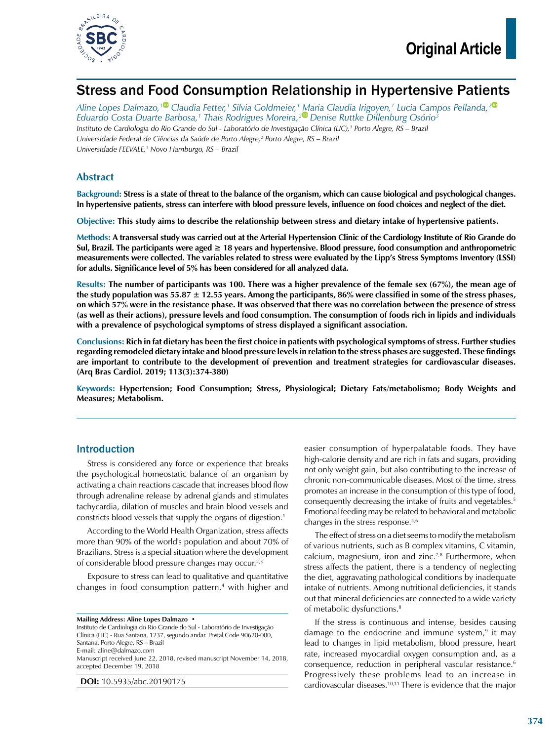

# Stress and Food Consumption Relationship in Hypertensive Patients

*Aline Lopes Dalmazo,[1](https://orcid.org/0000-0001-9329-1879) Claudia Fetter,1 Silvia Goldmeier,1 Maria Claudia Irigoyen,1 Lucia Campos Pellanda,[2](https://orcid.org/0000-0002-9092-3882) Eduardo Costa Duarte Barbosa,1 Thais Rodrigues Moreira,[2](https://orcid.org/0000-0003-0728-3739) Denise Ruttke Dillenburg Osório3 Instituto de Cardiologia do Rio Grande do Sul - Laboratório de Investigação Clínica (LIC),1 Porto Alegre, RS – Brazil Universidade Federal de Ciências da Saúde de Porto Alegre,2 Porto Alegre, RS – Brazil Universidade FEEVALE,3 Novo Hamburgo, RS – Brazil*

## **Abstract**

**Background: Stress is a state of threat to the balance of the organism, which can cause biological and psychological changes. In hypertensive patients, stress can interfere with blood pressure levels, influence on food choices and neglect of the diet.**

**Objective: This study aims to describe the relationship between stress and dietary intake of hypertensive patients.**

**Methods: A transversal study was carried out at the Arterial Hypertension Clinic of the Cardiology Institute of Rio Grande do Sul, Brazil. The participants were aged ≥ 18 years and hypertensive. Blood pressure, food consumption and anthropometric measurements were collected. The variables related to stress were evaluated by the Lipp's Stress Symptoms Inventory (LSSI) for adults. Significance level of 5% has been considered for all analyzed data.**

**Results: The number of participants was 100. There was a higher prevalence of the female sex (67%), the mean age of the study population was 55.87 ± 12.55 years. Among the participants, 86% were classified in some of the stress phases, on which 57% were in the resistance phase. It was observed that there was no correlation between the presence of stress (as well as their actions), pressure levels and food consumption. The consumption of foods rich in lipids and individuals with a prevalence of psychological symptoms of stress displayed a significant association.**

**Conclusions: Rich in fat dietary has been the first choice in patients with psychological symptoms of stress. Further studies regarding remodeled dietary intake and blood pressure levels in relation to the stress phases are suggested. These findings are important to contribute to the development of prevention and treatment strategies for cardiovascular diseases. (Arq Bras Cardiol. 2019; 113(3):374-380)**

**Keywords: Hypertension; Food Consumption; Stress, Physiological; Dietary Fats/metabolismo; Body Weights and Measures; Metabolism.**

### Introduction

Stress is considered any force or experience that breaks the psychological homeostatic balance of an organism by activating a chain reactions cascade that increases blood flow through adrenaline release by adrenal glands and stimulates tachycardia, dilation of muscles and brain blood vessels and constricts blood vessels that supply the organs of digestion.1

According to the World Health Organization, stress affects more than 90% of the world's population and about 70% of Brazilians. Stress is a special situation where the development of considerable blood pressure changes may occur.<sup>2,3</sup>

Exposure to stress can lead to qualitative and quantitative changes in food consumption pattern,<sup>4</sup> with higher and

Instituto de Cardiologia do Rio Grande do Sul - Laboratório de Investigação Clínica (LIC) - Rua Santana, 1237, segundo andar. Postal Code 90620-000, Santana, Porto Alegre, RS – Brazil E-mail: [aline@dalmazo.com](mailto:aline@dalmazo.com) Manuscript received June 22, 2018, revised manuscript November 14, 2018, accepted December 19, 2018

**DOI:** 10.5935/abc.20190175

easier consumption of hyperpalatable foods. They have high-calorie density and are rich in fats and sugars, providing not only weight gain, but also contributing to the increase of chronic non-communicable diseases. Most of the time, stress promotes an increase in the consumption of this type of food, consequently decreasing the intake of fruits and vegetables.5 Emotional feeding may be related to behavioral and metabolic changes in the stress response.4,6

The effect of stress on a diet seems to modify the metabolism of various nutrients, such as B complex vitamins, C vitamin, calcium, magnesium, iron and zinc.<sup>7,8</sup> Furthermore, when stress affects the patient, there is a tendency of neglecting the diet, aggravating pathological conditions by inadequate intake of nutrients. Among nutritional deficiencies, it stands out that mineral deficiencies are connected to a wide variety of metabolic dysfunctions.<sup>8</sup>

If the stress is continuous and intense, besides causing damage to the endocrine and immune system, $9$  it may lead to changes in lipid metabolism, blood pressure, heart rate, increased myocardial oxygen consumption and, as a consequence, reduction in peripheral vascular resistance.6 Progressively these problems lead to an increase in cardiovascular diseases.10,11 There is evidence that the major

**Mailing Address: Aline Lopes Dalmazo •**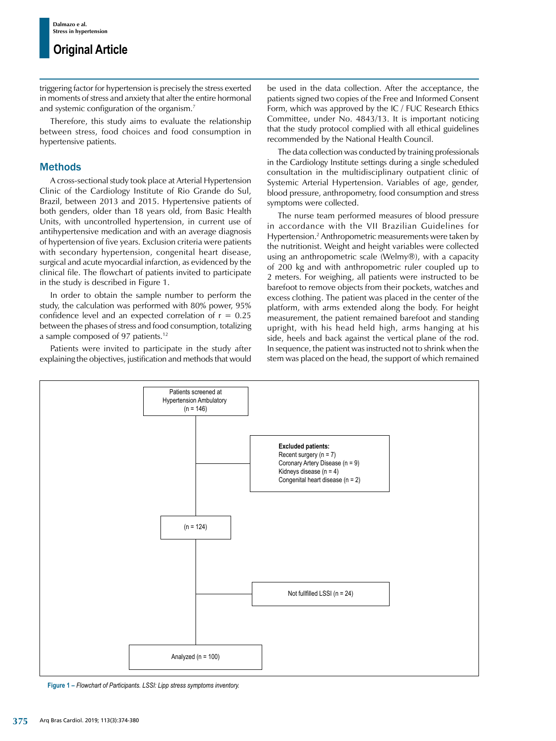triggering factor for hypertension is precisely the stress exerted in moments of stress and anxiety that alter the entire hormonal and systemic configuration of the organism.<sup>7</sup>

Therefore, this study aims to evaluate the relationship between stress, food choices and food consumption in hypertensive patients.

### Methods

A cross-sectional study took place at Arterial Hypertension Clinic of the Cardiology Institute of Rio Grande do Sul, Brazil, between 2013 and 2015. Hypertensive patients of both genders, older than 18 years old, from Basic Health Units, with uncontrolled hypertension, in current use of antihypertensive medication and with an average diagnosis of hypertension of five years. Exclusion criteria were patients with secondary hypertension, congenital heart disease, surgical and acute myocardial infarction, as evidenced by the clinical file. The flowchart of patients invited to participate in the study is described in Figure 1.

In order to obtain the sample number to perform the study, the calculation was performed with 80% power, 95% confidence level and an expected correlation of  $r = 0.25$ between the phases of stress and food consumption, totalizing a sample composed of 97 patients.12

Patients were invited to participate in the study after explaining the objectives, justification and methods that would be used in the data collection. After the acceptance, the patients signed two copies of the Free and Informed Consent Form, which was approved by the IC / FUC Research Ethics Committee, under No. 4843/13. It is important noticing that the study protocol complied with all ethical guidelines recommended by the National Health Council.

The data collection was conducted by training professionals in the Cardiology Institute settings during a single scheduled consultation in the multidisciplinary outpatient clinic of Systemic Arterial Hypertension. Variables of age, gender, blood pressure, anthropometry, food consumption and stress symptoms were collected.

The nurse team performed measures of blood pressure in accordance with the VII Brazilian Guidelines for Hypertension.2 Anthropometric measurements were taken by the nutritionist. Weight and height variables were collected using an anthropometric scale (Welmy®), with a capacity of 200 kg and with anthropometric ruler coupled up to 2 meters. For weighing, all patients were instructed to be barefoot to remove objects from their pockets, watches and excess clothing. The patient was placed in the center of the platform, with arms extended along the body. For height measurement, the patient remained barefoot and standing upright, with his head held high, arms hanging at his side, heels and back against the vertical plane of the rod. In sequence, the patient was instructed not to shrink when the stem was placed on the head, the support of which remained



**Figure 1 –** *Flowchart of Participants. LSSI: Lipp stress symptoms inventory.*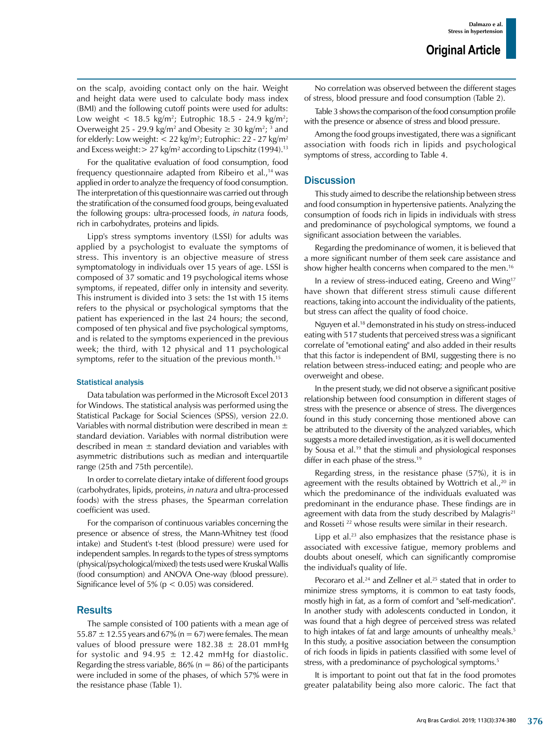on the scalp, avoiding contact only on the hair. Weight and height data were used to calculate body mass index (BMI) and the following cutoff points were used for adults: Low weight  $< 18.5$  kg/m<sup>2</sup>; Eutrophic 18.5 - 24.9 kg/m<sup>2</sup>; Overweight 25 - 29.9 kg/m<sup>2</sup> and Obesity  $\geq 30$  kg/m<sup>2</sup>; <sup>3</sup> and for elderly: Low weight: < 22 kg/m²; Eutrophic: 22 - 27 kg/m² and Excess weight: $> 27$  kg/m<sup>2</sup> according to Lipschitz (1994).<sup>13</sup>

For the qualitative evaluation of food consumption, food frequency questionnaire adapted from Ribeiro et al.,<sup>14</sup> was applied in order to analyze the frequency of food consumption. The interpretation of this questionnaire was carried out through the stratification of the consumed food groups, being evaluated the following groups: ultra-processed foods, *in natura* foods, rich in carbohydrates, proteins and lipids.

Lipp's stress symptoms inventory (LSSI) for adults was applied by a psychologist to evaluate the symptoms of stress. This inventory is an objective measure of stress symptomatology in individuals over 15 years of age. LSSI is composed of 37 somatic and 19 psychological items whose symptoms, if repeated, differ only in intensity and severity. This instrument is divided into 3 sets: the 1st with 15 items refers to the physical or psychological symptoms that the patient has experienced in the last 24 hours; the second, composed of ten physical and five psychological symptoms, and is related to the symptoms experienced in the previous week; the third, with 12 physical and 11 psychological symptoms, refer to the situation of the previous month.15

#### Statistical analysis

Data tabulation was performed in the Microsoft Excel 2013 for Windows. The statistical analysis was performed using the Statistical Package for Social Sciences (SPSS), version 22.0. Variables with normal distribution were described in mean ± standard deviation. Variables with normal distribution were described in mean  $\pm$  standard deviation and variables with asymmetric distributions such as median and interquartile range (25th and 75th percentile).

In order to correlate dietary intake of different food groups (carbohydrates, lipids, proteins, *in natura* and ultra-processed foods) with the stress phases, the Spearman correlation coefficient was used.

For the comparison of continuous variables concerning the presence or absence of stress, the Mann-Whitney test (food intake) and Student's t-test (blood pressure) were used for independent samples. In regards to the types of stress symptoms (physical/psychological/mixed) the tests used were Kruskal Wallis (food consumption) and ANOVA One-way (blood pressure). Significance level of  $5\%$  ( $p < 0.05$ ) was considered.

### **Results**

The sample consisted of 100 patients with a mean age of  $55.87 \pm 12.55$  years and  $67\%$  (n = 67) were females. The mean values of blood pressure were  $182.38 \pm 28.01$  mmHg for systolic and 94.95  $\pm$  12.42 mmHg for diastolic. Regarding the stress variable,  $86\%$  (n = 86) of the participants were included in some of the phases, of which 57% were in the resistance phase (Table 1).

No correlation was observed between the different stages of stress, blood pressure and food consumption (Table 2).

Table 3 shows the comparison of the food consumption profile with the presence or absence of stress and blood pressure.

Among the food groups investigated, there was a significant association with foods rich in lipids and psychological symptoms of stress, according to Table 4.

### **Discussion**

This study aimed to describe the relationship between stress and food consumption in hypertensive patients. Analyzing the consumption of foods rich in lipids in individuals with stress and predominance of psychological symptoms, we found a significant association between the variables.

Regarding the predominance of women, it is believed that a more significant number of them seek care assistance and show higher health concerns when compared to the men.<sup>16</sup>

In a review of stress-induced eating, Greeno and Wing17 have shown that different stress stimuli cause different reactions, taking into account the individuality of the patients, but stress can affect the quality of food choice.

Nguyen et al.18 demonstrated in his study on stress-induced eating with 517 students that perceived stress was a significant correlate of "emotional eating" and also added in their results that this factor is independent of BMI, suggesting there is no relation between stress-induced eating; and people who are overweight and obese.

In the present study, we did not observe a significant positive relationship between food consumption in different stages of stress with the presence or absence of stress. The divergences found in this study concerning those mentioned above can be attributed to the diversity of the analyzed variables, which suggests a more detailed investigation, as it is well documented by Sousa et al.<sup>19</sup> that the stimuli and physiological responses differ in each phase of the stress.<sup>19</sup>

Regarding stress, in the resistance phase (57%), it is in agreement with the results obtained by Wottrich et al., $20$  in which the predominance of the individuals evaluated was predominant in the endurance phase. These findings are in agreement with data from the study described by Malagris $21$ and Rosseti 22 whose results were similar in their research.

Lipp et al. $23$  also emphasizes that the resistance phase is associated with excessive fatigue, memory problems and doubts about oneself, which can significantly compromise the individual's quality of life.

Pecoraro et al.<sup>24</sup> and Zellner et al.<sup>25</sup> stated that in order to minimize stress symptoms, it is common to eat tasty foods, mostly high in fat, as a form of comfort and "self-medication". In another study with adolescents conducted in London, it was found that a high degree of perceived stress was related to high intakes of fat and large amounts of unhealthy meals.<sup>5</sup> In this study, a positive association between the consumption of rich foods in lipids in patients classified with some level of stress, with a predominance of psychological symptoms.<sup>5</sup>

It is important to point out that fat in the food promotes greater palatability being also more caloric. The fact that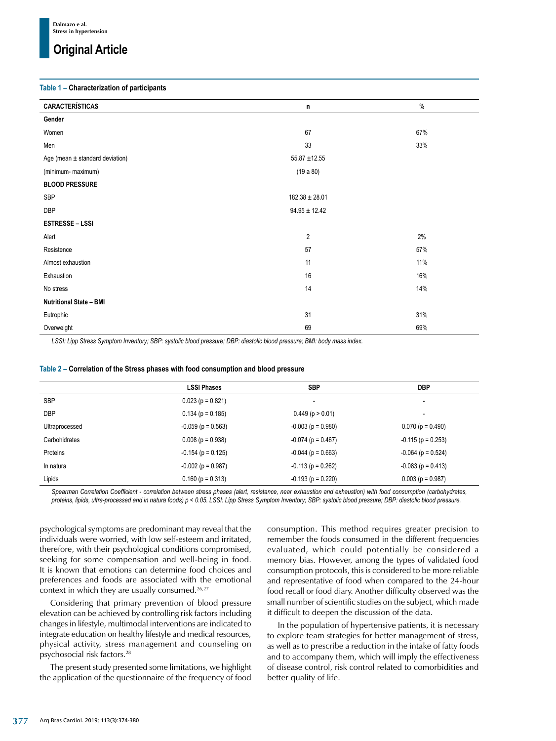# **Original Article**

#### **Table 1 – Characterization of participants**

| <b>CARACTERÍSTICAS</b>              | n                  | $\%$ |  |
|-------------------------------------|--------------------|------|--|
| Gender                              |                    |      |  |
| Women                               | 67<br>67%          |      |  |
| Men                                 | 33<br>33%          |      |  |
| Age (mean $\pm$ standard deviation) | $55.87 + 12.55$    |      |  |
| (minimum- maximum)                  | (19a80)            |      |  |
| <b>BLOOD PRESSURE</b>               |                    |      |  |
| <b>SBP</b>                          | $182.38 \pm 28.01$ |      |  |
| <b>DBP</b>                          | $94.95 \pm 12.42$  |      |  |
| <b>ESTRESSE - LSSI</b>              |                    |      |  |
| Alert                               | 2                  | 2%   |  |
| Resistence                          | 57<br>57%          |      |  |
| Almost exhaustion                   | 11<br>11%          |      |  |
| Exhaustion                          | 16<br>16%          |      |  |
| No stress                           | 14<br>14%          |      |  |
| <b>Nutritional State - BMI</b>      |                    |      |  |
| Eutrophic                           | 31<br>31%          |      |  |
| Overweight                          | 69<br>69%          |      |  |

*LSSI: Lipp Stress Symptom Inventory; SBP: systolic blood pressure; DBP: diastolic blood pressure; BMI: body mass index.*

|                | <b>LSSI Phases</b>   | <b>SBP</b>            | <b>DBP</b>               |
|----------------|----------------------|-----------------------|--------------------------|
| <b>SBP</b>     | $0.023$ (p = 0.821)  |                       | ٠                        |
| <b>DBP</b>     | $0.134$ (p = 0.185)  | $0.449$ (p $> 0.01$ ) | $\overline{\phantom{0}}$ |
| Ultraprocessed | $-0.059$ (p = 0.563) | $-0.003$ (p = 0.980)  | $0.070(p = 0.490)$       |
| Carbohidrates  | $0.008$ (p = 0.938)  | $-0.074$ (p = 0.467)  | $-0.115$ (p = 0.253)     |
| Proteins       | $-0.154$ (p = 0.125) | $-0.044$ (p = 0.663)  | $-0.064$ (p = 0.524)     |
| In natura      | $-0.002$ (p = 0.987) | $-0.113$ (p = 0.262)  | $-0.083$ (p = 0.413)     |
| Lipids         | $0.160$ (p = 0.313)  | $-0.193$ (p = 0.220)  | $0.003$ (p = 0.987)      |

**Table 2 – Correlation of the Stress phases with food consumption and blood pressure**

*Spearman Correlation Coefficient - correlation between stress phases (alert, resistance, near exhaustion and exhaustion) with food consumption (carbohydrates, proteins, lipids, ultra-processed and in natura foods) p < 0.05. LSSI: Lipp Stress Symptom Inventory; SBP: systolic blood pressure; DBP: diastolic blood pressure.*

psychological symptoms are predominant may reveal that the individuals were worried, with low self-esteem and irritated, therefore, with their psychological conditions compromised, seeking for some compensation and well-being in food. It is known that emotions can determine food choices and preferences and foods are associated with the emotional context in which they are usually consumed.<sup>26,27</sup>

Considering that primary prevention of blood pressure elevation can be achieved by controlling risk factors including changes in lifestyle, multimodal interventions are indicated to integrate education on healthy lifestyle and medical resources, physical activity, stress management and counseling on psychosocial risk factors.28

The present study presented some limitations, we highlight the application of the questionnaire of the frequency of food consumption. This method requires greater precision to remember the foods consumed in the different frequencies evaluated, which could potentially be considered a memory bias. However, among the types of validated food consumption protocols, this is considered to be more reliable and representative of food when compared to the 24-hour food recall or food diary. Another difficulty observed was the small number of scientific studies on the subject, which made it difficult to deepen the discussion of the data.

In the population of hypertensive patients, it is necessary to explore team strategies for better management of stress, as well as to prescribe a reduction in the intake of fatty foods and to accompany them, which will imply the effectiveness of disease control, risk control related to comorbidities and better quality of life.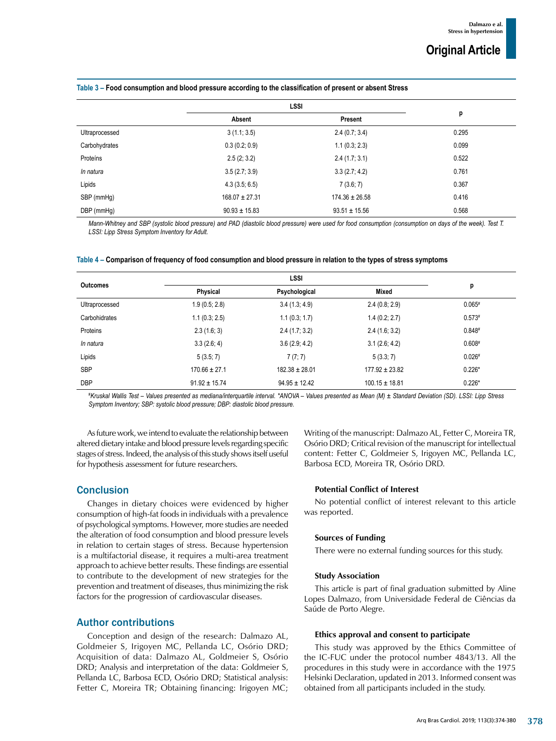|                | <b>LSSI</b>        |                    |       |
|----------------|--------------------|--------------------|-------|
|                | Absent             | Present            | p     |
| Ultraprocessed | 3(1.1; 3.5)        | 2.4(0.7; 3.4)      | 0.295 |
| Carbohydrates  | 0.3(0.2; 0.9)      | 1.1(0.3; 2.3)      | 0.099 |
| Proteíns       | 2.5(2; 3.2)        | 2.4(1.7; 3.1)      | 0.522 |
| In natura      | 3.5(2.7; 3.9)      | 3.3(2.7; 4.2)      | 0.761 |
| Lipids         | 4.3(3.5; 6.5)      | 7(3.6; 7)          | 0.367 |
| SBP (mmHg)     | $168.07 \pm 27.31$ | $174.36 \pm 26.58$ | 0.416 |
| DBP (mmHg)     | $90.93 \pm 15.83$  | $93.51 \pm 15.56$  | 0.568 |

*Mann-Whitney and SBP (systolic blood pressure) and PAD (diastolic blood pressure) were used for food consumption (consumption on days of the week). Test T. LSSI: Lipp Stress Symptom Inventory for Adult.*

|  |  | Table 4 – Comparison of frequency of food consumption and blood pressure in relation to the types of stress symptoms |
|--|--|----------------------------------------------------------------------------------------------------------------------|
|  |  |                                                                                                                      |

| <b>Outcomes</b> | <b>LSSI</b>       |                    |                    |          |
|-----------------|-------------------|--------------------|--------------------|----------|
|                 | Physical          | Psychological      | Mixed              | р        |
| Ultraprocessed  | 1.9(0.5; 2.8)     | 3.4(1.3; 4.9)      | 2.4(0.8; 2.9)      | $0.065*$ |
| Carbohidrates   | 1.1(0.3; 2.5)     | 1.1(0.3; 1.7)      | 1.4(0.2; 2.7)      | $0.573*$ |
| Proteins        | 2.3(1.6; 3)       | 2.4(1.7; 3.2)      | 2.4(1.6; 3.2)      | $0.848*$ |
| In natura       | 3.3(2.6; 4)       | 3.6(2.9; 4.2)      | 3.1(2.6; 4.2)      | $0.608*$ |
| Lipids          | 5(3.5; 7)         | 7(7; 7)            | 5(3.3; 7)          | $0.026*$ |
| <b>SBP</b>      | $170.66 \pm 27.1$ | $182.38 \pm 28.01$ | $177.92 \pm 23.82$ | $0.226*$ |
| <b>DBP</b>      | $91.92 \pm 15.74$ | $94.95 \pm 12.42$  | $100.15 \pm 18.81$ | $0.226*$ |

*# Kruskal Wallis Test – Values presented as mediana/interquartile interval. \*ANOVA – Values presented as Mean (M) ± Standard Deviation (SD). LSSI: Lipp Stress Symptom Inventory; SBP: systolic blood pressure; DBP: diastolic blood pressure.*

As future work, we intend to evaluate the relationship between altered dietary intake and blood pressure levels regarding specific stages of stress. Indeed, the analysis of this study shows itself useful for hypothesis assessment for future researchers.

Writing of the manuscript: Dalmazo AL, Fetter C, Moreira TR, Osório DRD; Critical revision of the manuscript for intellectual content: Fetter C, Goldmeier S, Irigoyen MC, Pellanda LC, Barbosa ECD, Moreira TR, Osório DRD.

## **Conclusion**

Changes in dietary choices were evidenced by higher consumption of high-fat foods in individuals with a prevalence of psychological symptoms. However, more studies are needed the alteration of food consumption and blood pressure levels in relation to certain stages of stress. Because hypertension is a multifactorial disease, it requires a multi-area treatment approach to achieve better results. These findings are essential to contribute to the development of new strategies for the prevention and treatment of diseases, thus minimizing the risk factors for the progression of cardiovascular diseases.

### Author contributions

Conception and design of the research: Dalmazo AL, Goldmeier S, Irigoyen MC, Pellanda LC, Osório DRD; Acquisition of data: Dalmazo AL, Goldmeier S, Osório DRD; Analysis and interpretation of the data: Goldmeier S, Pellanda LC, Barbosa ECD, Osório DRD; Statistical analysis: Fetter C, Moreira TR; Obtaining financing: Irigoyen MC;

#### **Potential Conflict of Interest**

No potential conflict of interest relevant to this article was reported.

### **Sources of Funding**

There were no external funding sources for this study.

#### **Study Association**

This article is part of final graduation submitted by Aline Lopes Dalmazo, from Universidade Federal de Ciências da Saúde de Porto Alegre.

#### **Ethics approval and consent to participate**

This study was approved by the Ethics Committee of the IC-FUC under the protocol number 4843/13. All the procedures in this study were in accordance with the 1975 Helsinki Declaration, updated in 2013. Informed consent was obtained from all participants included in the study.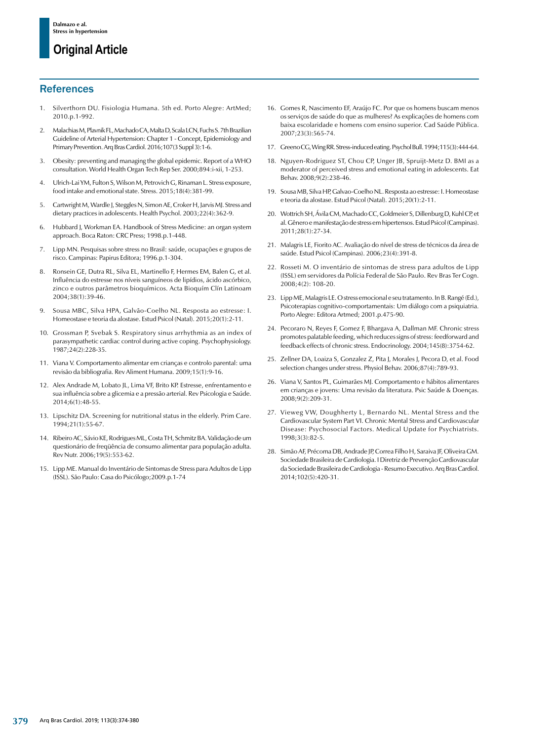# **Original Article**

## **References**

- 1. Silverthorn DU. Fisiologia Humana. 5th ed. Porto Alegre: ArtMed; 2010.p.1-992.
- 2. Malachias M, Plavnik FL, Machado CA, Malta D, Scala LCN, Fuchs S. 7th Brazilian Guideline of Arterial Hypertension: Chapter 1 - Concept, Epidemiology and Primary Prevention. Arq Bras Cardiol. 2016;107(3 Suppl 3):1-6.
- 3. Obesity: preventing and managing the global epidemic. Report of a WHO consultation. World Health Organ Tech Rep Ser. 2000;894:i-xii, 1-253.
- 4. Ulrich-Lai YM, Fulton S, Wilson M, Petrovich G, Rinaman L. Stress exposure, food intake and emotional state. Stress. 2015;18(4):381-99.
- 5. Cartwright M, Wardle J, Steggles N, Simon AE, Croker H, Jarvis MJ. Stress and dietary practices in adolescents. Health Psychol. 2003;22(4):362-9.
- 6. Hubbard J, Workman EA. Handbook of Stress Medicine: an organ system approach. Boca Raton: CRC Press; 1998.p.1-448.
- 7. Lipp MN. Pesquisas sobre stress no Brasil: saúde, ocupações e grupos de risco. Campinas: Papirus Editora; 1996.p.1-304.
- 8. Ronsein GE, Dutra RL, Silva EL, Martinello F, Hermes EM, Balen G, et al. Influência do estresse nos níveis sanguíneos de lipídios, ácido ascórbico, zinco e outros parâmetros bioquímicos. Acta Bioquím Clín Latinoam 2004;38(1):39-46.
- 9. Sousa MBC, Silva HPA, Galvão-Coelho NL. Resposta ao estresse: I. Homeostase e teoria da alostase. Estud Psicol (Natal). 2015;20(1):2-11.
- Grossman P, Svebak S. Respiratory sinus arrhythmia as an index of parasympathetic cardiac control during active coping. Psychophysiology. 1987;24(2):228-35.
- Viana V. Comportamento alimentar em crianças e controlo parental: uma revisão da bibliografia. Rev Aliment Humana. 2009;15(1):9-16.
- 12. Alex Andrade M, Lobato JL, Lima VF, Brito KP. Estresse, enfrentamento e sua influência sobre a glicemia e a pressão arterial. Rev Psicologia e Saúde. 2014;6(1):48-55.
- 13. Lipschitz DA. Screening for nutritional status in the elderly. Prim Care. 1994;21(1):55-67.
- 14. Ribeiro AC, Sávio KE, Rodrigues ML, Costa TH, Schmitz BA. Validação de um questionário de freqüência de consumo alimentar para população adulta. Rev Nutr. 2006;19(5):553-62.
- 15. Lipp ME. Manual do Inventário de Sintomas de Stress para Adultos de Lipp (ISSL). São Paulo: Casa do Psicólogo;2009.p.1-74
- 16. Gomes R, Nascimento EF, Araújo FC. Por que os homens buscam menos os serviços de saúde do que as mulheres? As explicações de homens com baixa escolaridade e homens com ensino superior. Cad Saúde Pública. 2007;23(3):565-74.
- 17. Greeno CG, Wing RR. Stress-induced eating. Psychol Bull. 1994;115(3):444-64.
- 18. Nguyen-Rodriguez ST, Chou CP, Unger JB, Spruijt-Metz D. BMI as a moderator of perceived stress and emotional eating in adolescents. Eat Behav. 2008;9(2):238-46.
- 19. Sousa MB, Silva HP, Galvao-Coelho NL. Resposta ao estresse: I. Homeostase e teoria da alostase. Estud Psicol (Natal). 2015;20(1):2-11.
- 20. Wottrich SH, Ávila CM, Machado CC, Goldmeier S, Dillenburg D, Kuhl CP, et al. Gênero e manifestação de stress em hipertensos. Estud Psicol (Campinas). 2011;28(1):27-34.
- 21. Malagris LE, Fiorito AC. Avaliação do nível de stress de técnicos da área de saúde. Estud Psicol (Campinas). 2006;23(4):391-8.
- 22. Rosseti M. O inventário de sintomas de stress para adultos de Lipp (ISSL) em servidores da Polícia Federal de São Paulo. Rev Bras Ter Cogn. 2008;4(2): 108-20.
- 23. Lipp ME, Malagris LE. O stress emocional e seu tratamento. In B. Rangé (Ed.), Psicoterapias cognitivo-comportamentais: Um diálogo com a psiquiatria. Porto Alegre: Editora Artmed; 2001.p.475-90.
- 24. Pecoraro N, Reyes F, Gomez F, Bhargava A, Dallman MF. Chronic stress promotes palatable feeding, which reduces signs of stress: feedforward and feedback effects of chronic stress. Endocrinology. 2004;145(8):3754-62.
- 25. Zellner DA, Loaiza S, Gonzalez Z, Pita J, Morales J, Pecora D, et al. Food selection changes under stress. Physiol Behav. 2006;87(4):789-93.
- 26. Viana V, Santos PL, Guimarães MJ. Comportamento e hábitos alimentares em crianças e jovens: Uma revisão da literatura. Psic Saúde & Doenças. 2008;9(2):209-31.
- 27. Vieweg VW, Doughherty L, Bernardo NL. Mental Stress and the Cardiovascular System Part VI. Chronic Mental Stress and Cardiovascular Disease: Psychosocial Factors. Medical Update for Psychiatrists. 1998;3(3):82-5.
- 28. Simão AF, Précoma DB, Andrade JP, Correa Filho H, Saraiva JF, Oliveira GM. Sociedade Brasileira de Cardiologia. I Diretriz de Prevenção Cardiovascular da Sociedade Brasileira de Cardiologia - Resumo Executivo. Arq Bras Cardiol. 2014;102(5):420-31.